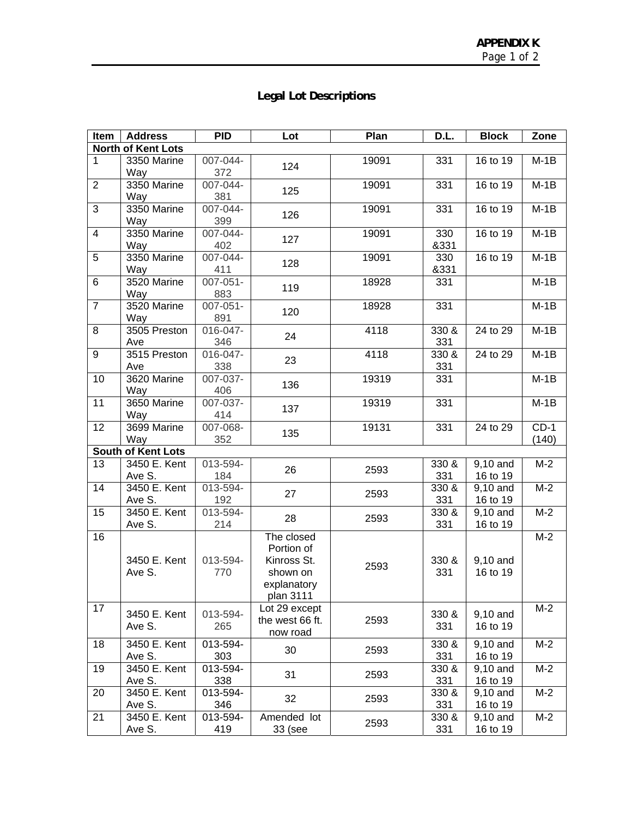## **Legal Lot Descriptions**

| Item                      | <b>Address</b>            | <b>PID</b>    | Lot             | Plan  | D.L.                 | <b>Block</b> | Zone   |
|---------------------------|---------------------------|---------------|-----------------|-------|----------------------|--------------|--------|
| <b>North of Kent Lots</b> |                           |               |                 |       |                      |              |        |
| $\mathbf{1}$              | 3350 Marine               | 007-044-      | 124             | 19091 | 331                  | 16 to 19     | $M-1B$ |
|                           | Way                       | 372           |                 |       |                      |              |        |
| $\overline{2}$            | 3350 Marine               | 007-044-      |                 | 19091 | 331                  | 16 to 19     | $M-1B$ |
|                           | Way                       | 381           | 125             |       |                      |              |        |
| $\overline{3}$            | 3350 Marine               | 007-044-      |                 | 19091 | 331                  | 16 to 19     | $M-1B$ |
|                           | Way                       | 399           | 126             |       |                      |              |        |
| $\overline{\mathbf{4}}$   | 3350 Marine               | $007 - 044 -$ |                 | 19091 | 330                  | 16 to 19     | $M-1B$ |
|                           | Way                       | 402           | 127             |       | &331                 |              |        |
| 5                         | 3350 Marine               | 007-044-      |                 | 19091 | 330                  | 16 to 19     | $M-1B$ |
|                           | Way                       | 411           | 128             |       | &331                 |              |        |
| 6                         | 3520 Marine               | $007 - 051 -$ |                 | 18928 | 331                  |              | $M-1B$ |
|                           | Way                       | 883           | 119             |       |                      |              |        |
| $\overline{7}$            | 3520 Marine               | 007-051-      |                 | 18928 | 331                  |              | $M-1B$ |
|                           | Way                       | 891           | 120             |       |                      |              |        |
| 8                         | 3505 Preston              | 016-047-      |                 | 4118  | 330 &                | 24 to 29     | $M-1B$ |
|                           | Ave                       | 346           | 24              |       | 331                  |              |        |
| 9                         | 3515 Preston              | 016-047-      |                 | 4118  | 330 &                | 24 to 29     | $M-1B$ |
|                           | Ave                       | 338           | 23              |       | 331                  |              |        |
| 10                        | 3620 Marine               | $007 - 037 -$ |                 | 19319 | 331                  |              | $M-1B$ |
|                           | Way                       | 406           | 136             |       |                      |              |        |
| 11                        | 3650 Marine               | 007-037-      |                 | 19319 | 331                  |              | $M-1B$ |
|                           | Way                       | 414           | 137             |       |                      |              |        |
| 12                        | 3699 Marine               | $007 - 068 -$ |                 | 19131 | 331                  | 24 to 29     | $CD-1$ |
|                           | Way                       | 352           | 135             |       |                      |              | (140)  |
|                           | <b>South of Kent Lots</b> |               |                 |       |                      |              |        |
| 13                        | 3450 E. Kent              | 013-594-      |                 |       | 330 &                | 9,10 and     | $M-2$  |
|                           | Ave S.                    | 184           | 26              | 2593  | 331                  | 16 to 19     |        |
| 14                        | 3450 E. Kent              | 013-594-      |                 |       | 330 &                | 9,10 and     | $M-2$  |
|                           | Ave S.                    | 192           | 27              | 2593  | 331                  | 16 to 19     |        |
| 15                        | 3450 E. Kent              | 013-594-      |                 |       | 330 &                | 9,10 and     | $M-2$  |
|                           | Ave S.                    | 214           | 28              | 2593  | 331                  | 16 to 19     |        |
| 16                        |                           |               | The closed      |       |                      |              | $M-2$  |
|                           |                           |               | Portion of      |       |                      |              |        |
|                           | 3450 E. Kent              | 013-594-      | Kinross St.     |       | 330 &                | 9,10 and     |        |
|                           | Ave S.                    | 770           | shown on        | 2593  | 331                  | 16 to 19     |        |
|                           |                           |               | explanatory     |       |                      |              |        |
|                           |                           |               | plan 3111       |       |                      |              |        |
| 17                        |                           |               | Lot 29 except   |       |                      |              | $M-2$  |
|                           | 3450 E. Kent              | 013-594-      | the west 66 ft. | 2593  | 330 &                | 9,10 and     |        |
|                           | Ave S.                    | 265           | now road        |       | 331                  | 16 to 19     |        |
| 18                        | 3450 E. Kent              | 013-594-      |                 |       | $330\ \overline{\&}$ | $9,10$ and   | $M-2$  |
|                           | Ave S.                    | 303           | 30              | 2593  | 331                  | 16 to 19     |        |
| 19                        | 3450 E. Kent              | 013-594-      |                 |       | 330 &                | 9,10 and     | $M-2$  |
|                           | Ave S.                    | 338           | 31              | 2593  | 331                  | 16 to 19     |        |
| 20                        | 3450 E. Kent              | 013-594-      |                 | 2593  | 330 &                | 9,10 and     | $M-2$  |
|                           | Ave S.                    | 346           | 32              |       | 331                  | 16 to 19     |        |
| 21                        | 3450 E. Kent              | 013-594-      | Amended lot     |       | 330 &                | 9,10 and     | $M-2$  |
|                           | Ave S.                    | 419           | 33 (see         | 2593  | 331                  | 16 to 19     |        |